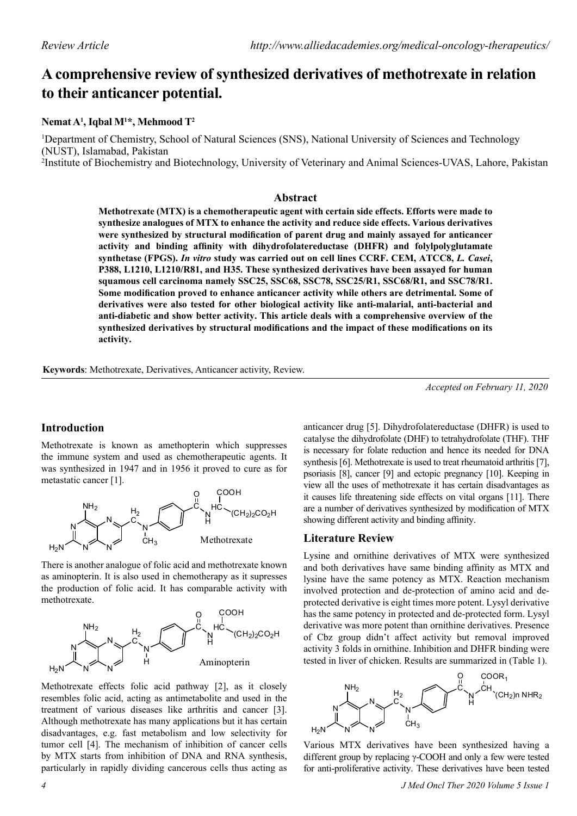# **A comprehensive review of synthesized derivatives of methotrexate in relation to their anticancer potential.**

# **Nemat A1 , Iqbal M1 \*, Mehmood T2**

<sup>1</sup>Department of Chemistry, School of Natural Sciences (SNS), National University of Sciences and Technology (NUST), Islamabad, Pakistan

2 Institute of Biochemistry and Biotechnology, University of Veterinary and Animal Sciences-UVAS, Lahore, Pakistan

# **Abstract**

**Methotrexate (MTX) is a chemotherapeutic agent with certain side effects. Efforts were made to synthesize analogues of MTX to enhance the activity and reduce side effects. Various derivatives were synthesized by structural modification of parent drug and mainly assayed for anticancer activity and binding affinity with dihydrofolatereductase (DHFR) and folylpolyglutamate synthetase (FPGS).** *In vitro* **study was carried out on cell lines CCRF. CEM, ATCC8,** *L. Casei***, P388, L1210, L1210/R81, and H35. These synthesized derivatives have been assayed for human squamous cell carcinoma namely SSC25, SSC68, SSC78, SSC25/R1, SSC68/R1, and SSC78/R1. Some modification proved to enhance anticancer activity while others are detrimental. Some of derivatives were also tested for other biological activity like anti-malarial, anti-bacterial and anti-diabetic and show better activity. This article deals with a comprehensive overview of the synthesized derivatives by structural modifications and the impact of these modifications on its activity.**

**Keywords**: Methotrexate, Derivatives, Anticancer activity, Review.

*Accepted on February 11, 2020*

# **Introduction**

Methotrexate is known as amethopterin which suppresses the immune system and used as chemotherapeutic agents. It was synthesized in 1947 and in 1956 it proved to cure as for metastatic cancer [1].



There is another analogue of folic acid and methotrexate known as aminopterin. It is also used in chemotherapy as it supresses the production of folic acid. It has comparable activity with methotrexate.



Methotrexate effects folic acid pathway [2], as it closely resembles folic acid, acting as antimetabolite and used in the treatment of various diseases like arthritis and cancer [3]. Although methotrexate has many applications but it has certain disadvantages, e.g. fast metabolism and low selectivity for tumor cell [4]. The mechanism of inhibition of cancer cells by MTX starts from inhibition of DNA and RNA synthesis, particularly in rapidly dividing cancerous cells thus acting as

are a number of derivatives synthesized by modification of MTX showing different activity and binding affinity. **Literature Review** Lysine and ornithine derivatives of MTX were synthesized and both derivatives have same binding affinity as MTX and lysine have the same potency as MTX. Reaction mechanism involved protection and de-protection of amino acid and deprotected derivative is eight times more potent. Lysyl derivative

has the same potency in protected and de-protected form. Lysyl derivative was more potent than ornithine derivatives. Presence of Cbz group didn't affect activity but removal improved activity 3 folds in ornithine. Inhibition and DHFR binding were tested in liver of chicken. Results are summarized in (Table 1).

anticancer drug [5]. Dihydrofolatereductase (DHFR) is used to catalyse the dihydrofolate (DHF) to tetrahydrofolate (THF). THF is necessary for folate reduction and hence its needed for DNA synthesis [6]. Methotrexate is used to treat rheumatoid arthritis [7], psoriasis [8], cancer [9] and ectopic pregnancy [10]. Keeping in view all the uses of methotrexate it has certain disadvantages as it causes life threatening side effects on vital organs [11]. There



Various MTX derivatives have been synthesized having a different group by replacing γ-COOH and only a few were tested for anti-proliferative activity. These derivatives have been tested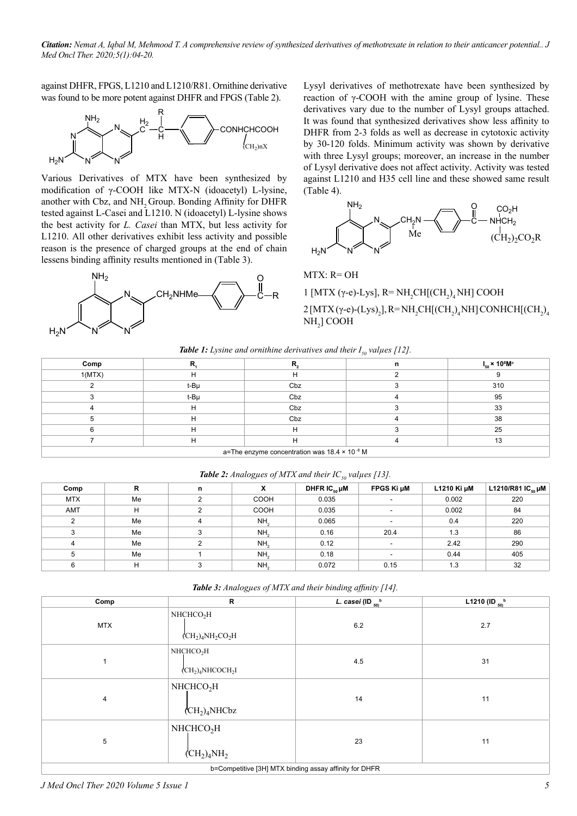*Citation: Nemat A, Iqbal M, Mehmood T. A comprehensive review of synthesized derivatives of methotrexate in relation to their anticancer potential.. J Med Oncl Ther. 2020;5(1):04-20.*

against DHFR, FPGS, L1210 and L1210/R81. Ornithine derivative was found to be more potent against DHFR and FPGS (Table 2).



Various Derivatives of MTX have been synthesized by modification of γ-COOH like MTX-N (idoacetyl) L-lysine, another with Cbz, and NH<sub>2</sub> Group. Bonding Affinity for DHFR tested against L-Casei and L1210. N (idoacetyl) L-lysine shows the best activity for *L. Casei* than MTX, but less activity for L1210. All other derivatives exhibit less activity and possible reason is the presence of charged groups at the end of chain lessens binding affinity results mentioned in (Table 3).



Lysyl derivatives of methotrexate have been synthesized by reaction of  $γ$ -COOH with the amine group of lysine. These derivatives vary due to the number of Lysyl groups attached. It was found that synthesized derivatives show less affinity to DHFR from 2-3 folds as well as decrease in cytotoxic activity by 30-120 folds. Minimum activity was shown by derivative with three Lysyl groups; moreover, an increase in the number of Lysyl derivative does not affect activity. Activity was tested against L1210 and H35 cell line and these showed same result (Table 4).



### MTX: R= OH

1 [MTX (γ-e)-Lys], R= NH<sub>2</sub>CH[(CH<sub>2</sub>)<sub>4</sub>NH] COOH 2 [MTX (γ-e)-(Lys)<sub>2</sub>], R=NH<sub>2</sub>CH[(CH<sub>2</sub>)<sub>4</sub>NH] CONHCH[(CH<sub>2</sub>)<sub>4</sub> NH2 ] COOH

|  | <b>Table 1:</b> Lysine and ornithine derivatives and their $I_{50}$ values [12]. |  |  |  |
|--|----------------------------------------------------------------------------------|--|--|--|
|--|----------------------------------------------------------------------------------|--|--|--|

|                                                          |      |     | $\sim$ $\prime\prime$ |                                           |  |  |
|----------------------------------------------------------|------|-----|-----------------------|-------------------------------------------|--|--|
| Comp                                                     |      |     | n                     | $I_{50}$ × 10 <sup>8</sup> M <sup>a</sup> |  |  |
| 1(MTX)                                                   | н    | н   |                       |                                           |  |  |
|                                                          | t-Bµ | Cbz |                       | 310                                       |  |  |
|                                                          | t-Bµ | Cbz |                       | 95                                        |  |  |
|                                                          | н    | Cbz |                       | 33                                        |  |  |
|                                                          | н    | Cbz |                       | 38                                        |  |  |
|                                                          | н    | н   |                       | 25                                        |  |  |
|                                                          | н    | Н   |                       | 13                                        |  |  |
| a=The enzyme concentration was 18.4 x 10 <sup>-8</sup> M |      |     |                       |                                           |  |  |

| <b>Table 2:</b> Analogues of MTX and their $IC_{s0}$ values [13]. |    |   |                 |                              |                          |             |                        |  |
|-------------------------------------------------------------------|----|---|-----------------|------------------------------|--------------------------|-------------|------------------------|--|
| Comp                                                              | R  | n | x               | DHFR $IC_{\kappa_0}$ $\mu$ M | FPGS Ki µM               | L1210 Ki µM | L1210/R81 $IC_{50}$ µM |  |
| <b>MTX</b>                                                        | Me |   | <b>COOH</b>     | 0.035                        |                          | 0.002       | 220                    |  |
| AMT                                                               | н  |   | <b>COOH</b>     | 0.035                        | $\overline{\phantom{a}}$ | 0.002       | 84                     |  |
| $\overline{2}$                                                    | Me |   | NH <sub>2</sub> | 0.065                        |                          | 0.4         | 220                    |  |
| 3                                                                 | Me |   | NH <sub>2</sub> | 0.16                         | 20.4                     | 1.3         | 86                     |  |
| 4                                                                 | Me |   | NH <sub>2</sub> | 0.12                         | $\overline{\phantom{a}}$ | 2.42        | 290                    |  |
| 5                                                                 | Me |   | NH <sub>2</sub> | 0.18                         | $\overline{\phantom{a}}$ | 0.44        | 405                    |  |
| 6                                                                 | н  |   | NH <sub>2</sub> | 0.072                        | 0.15                     | 1.3         | 32                     |  |

| Table 3: Analogues of MTX and their binding affinity [14]. |  |  |  |  |  |
|------------------------------------------------------------|--|--|--|--|--|
|------------------------------------------------------------|--|--|--|--|--|

| Comp           | $\mathsf{R}$                                                                            | L. casei (ID $_{50}$ <sup>b</sup>                      | L1210 (ID $_{50}$ <sup>b</sup> |
|----------------|-----------------------------------------------------------------------------------------|--------------------------------------------------------|--------------------------------|
| <b>MTX</b>     | NHCHCO <sub>2</sub> H<br>$\rm (CH_2)_4NH_2CO_2H$                                        | 6.2                                                    | 2.7                            |
| 1              | NHCHCO <sub>2</sub> H<br>$\langle$ CH <sub>2</sub> ) <sub>4</sub> NHCOCH <sub>2</sub> I | 4.5                                                    | 31                             |
| $\overline{4}$ | NHCHCO <sub>2</sub> H<br>$\rm (CH_2)_4$ NHCbz                                           | 14                                                     | 11                             |
| 5              | NHCHCO <sub>2</sub> H<br>$\rm (CH_2)_4NH_2$                                             | 23                                                     | 11                             |
|                |                                                                                         | b=Competitive [3H] MTX binding assay affinity for DHFR |                                |

*J Med Oncl Ther 2020 Volume 5 Issue 1 5*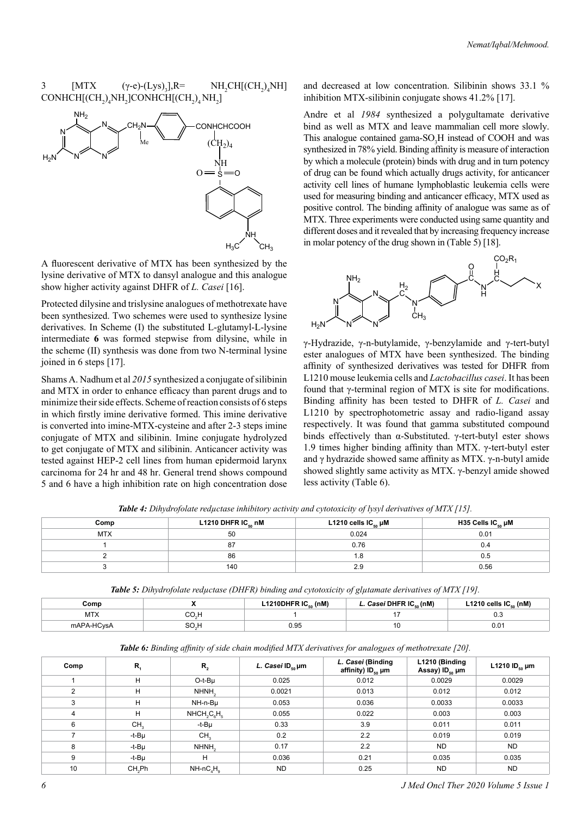#### 3 [MTX (γ-e)-(Lys)<sub>3</sub>],R= ], $R=$  NH<sub>2</sub>CH[(CH<sub>2</sub>)<sub>4</sub>NH]  $\mathrm{CONHCH}[\mathrm{(CH}_2)_4\mathrm{NH}_2]\mathrm{CONHCH}[\mathrm{(CH}_2)_4\mathrm{NH}_2]$



A fluorescent derivative of MTX has been synthesized by the lysine derivative of MTX to dansyl analogue and this analogue show higher activity against DHFR of *L. Casei* [16].

Protected dilysine and trislysine analogues of methotrexate have been synthesized. Two schemes were used to synthesize lysine derivatives. In Scheme (I) the substituted L-glutamyl-L-lysine intermediate **6** was formed stepwise from dilysine, while in the scheme (II) synthesis was done from two N-terminal lysine joined in 6 steps [17].

Shams A. Nadhum et al *2015* synthesized a conjugate of silibinin and MTX in order to enhance efficacy than parent drugs and to minimize their side effects. Scheme of reaction consists of 6 steps in which firstly imine derivative formed. This imine derivative is converted into imine-MTX-cysteine and after 2-3 steps imine conjugate of MTX and silibinin. Imine conjugate hydrolyzed to get conjugate of MTX and silibinin. Anticancer activity was tested against HEP-2 cell lines from human epidermoid larynx carcinoma for 24 hr and 48 hr. General trend shows compound 5 and 6 have a high inhibition rate on high concentration dose and decreased at low concentration. Silibinin shows 33.1 % inhibition MTX-silibinin conjugate shows 41.2% [17].

Andre et al *1984* synthesized a polygultamate derivative bind as well as MTX and leave mammalian cell more slowly. This analogue contained gama- $SO_3H$  instead of COOH and was synthesized in 78% yield. Binding affinity is measure of interaction by which a molecule (protein) binds with drug and in turn potency of drug can be found which actually drugs activity, for anticancer activity cell lines of humane lymphoblastic leukemia cells were used for measuring binding and anticancer efficacy, MTX used as positive control. The binding affinity of analogue was same as of MTX. Three experiments were conducted using same quantity and different doses and it revealed that by increasing frequency increase in molar potency of the drug shown in (Table 5) [18].



γ-Hydrazide, γ-n-butylamide, γ-benzylamide and γ-tert-butyl ester analogues of MTX have been synthesized. The binding affinity of synthesized derivatives was tested for DHFR from L1210 mouse leukemia cells and *Lactobacillus casei*. It has been found that γ-terminal region of MTX is site for modifications. Binding affinity has been tested to DHFR of *L. Casei* and L1210 by spectrophotometric assay and radio-ligand assay respectively. It was found that gamma substituted compound binds effectively than α-Substituted. γ-tert-butyl ester shows 1.9 times higher binding affinity than MTX. γ-tert-butyl ester and γ hydrazide showed same affinity as MTX. γ-n-butyl amide showed slightly same activity as MTX. γ-benzyl amide showed less activity (Table 6).

| <b>Table 4:</b> Dihydrofolate reductase inhibitory activity and cytotoxicity of lysyl derivatives of MTX [15]. |  |  |  |  |  |
|----------------------------------------------------------------------------------------------------------------|--|--|--|--|--|
|                                                                                                                |  |  |  |  |  |

| Comp       | L1210 DHFR IC $_{\rm so}$ nM | L1210 cells $IC_{_{50}}$ µM | H35 Cells IC $_{50}$ µM |
|------------|------------------------------|-----------------------------|-------------------------|
| <b>MTX</b> | 50                           | 0.024                       | 0.01                    |
|            | 87                           | 0.76                        | υ.4                     |
|            | 86                           |                             | 0.5                     |
|            | 140                          | 2.9                         | 0.56                    |

*Table 5: Dihydrofolate reductase (DHFR) binding and cytotoxicity of glutamate derivatives of MTX [19].* 

| .omr ت     | L1210DHFR $IC_{50}$ (nM) | Casei DHFR IC. (nM) | L1210 cells $IC_{50}$ (nM) |
|------------|--------------------------|---------------------|----------------------------|
| MIA        |                          |                     | v.c                        |
| mAPA-HCvsA | ۵۵،<br>∪.∪⊾              | 1 U                 | υ.υ                        |

| <b>Table 6:</b> Binding affinity of side chain modified MTX derivatives for analogues of methotrexate [20]. |  |  |  |
|-------------------------------------------------------------------------------------------------------------|--|--|--|
|-------------------------------------------------------------------------------------------------------------|--|--|--|

| Comp | $R_{\rm i}$        | $R_{2}$           | L. Casei ID $_{\rm so}$ µm | L. Casei (Binding<br>affinity) ID <sub>so</sub> µm | L1210 (Binding<br>Assay) ID <sub>so</sub> µm | L1210 ID <sub>50</sub> $\mu$ m |
|------|--------------------|-------------------|----------------------------|----------------------------------------------------|----------------------------------------------|--------------------------------|
|      | н                  | O-t-Bu            | 0.025                      | 0.012                                              | 0.0029                                       | 0.0029                         |
| 2    | H                  | NHNH <sub>2</sub> | 0.0021                     | 0.013                                              | 0.012                                        | 0.012                          |
| 3    | н                  | NH-n-Bu           | 0.053                      | 0.036                                              | 0.0033                                       | 0.0033                         |
| 4    | H                  | $NHCH2C6H5$       | 0.055                      | 0.022                                              | 0.003                                        | 0.003                          |
| 6    | CH <sub>3</sub>    | -t-Bµ             | 0.33                       | 3.9                                                | 0.011                                        | 0.011                          |
|      | -t-Bµ              | CH <sub>3</sub>   | 0.2                        | 2.2                                                | 0.019                                        | 0.019                          |
| 8    | -t-Bµ              | NHNH <sub>2</sub> | 0.17                       | 2.2                                                | <b>ND</b>                                    | <b>ND</b>                      |
| 9    | $-t-B\mu$          | H                 | 0.036                      | 0.21                                               | 0.035                                        | 0.035                          |
| 10   | CH <sub>2</sub> Ph | $NH-ncaHa$        | <b>ND</b>                  | 0.25                                               | <b>ND</b>                                    | <b>ND</b>                      |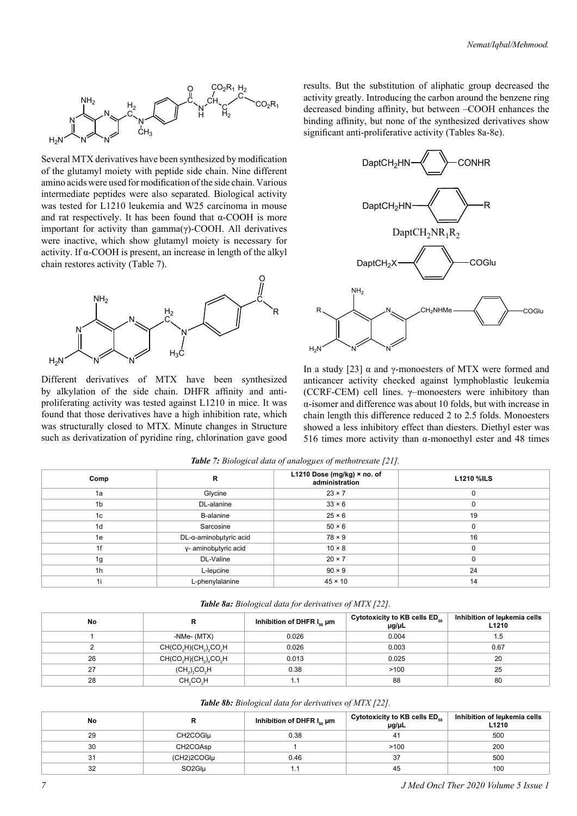

Several MTX derivatives have been synthesized by modification of the glutamyl moiety with peptide side chain. Nine different amino acids were used for modification of the side chain. Various intermediate peptides were also separated. Biological activity was tested for L1210 leukemia and W25 carcinoma in mouse and rat respectively. It has been found that  $\alpha$ -COOH is more important for activity than gamma(γ)-COOH. All derivatives were inactive, which show glutamyl moiety is necessary for activity. If α-COOH is present, an increase in length of the alkyl chain restores activity (Table 7).



Different derivatives of MTX have been synthesized by alkylation of the side chain. DHFR affinity and antiproliferating activity was tested against L1210 in mice. It was found that those derivatives have a high inhibition rate, which was structurally closed to MTX. Minute changes in Structure such as derivatization of pyridine ring, chlorination gave good results. But the substitution of aliphatic group decreased the activity greatly. Introducing the carbon around the benzene ring decreased binding affinity, but between –COOH enhances the binding affinity, but none of the synthesized derivatives show significant anti-proliferative activity (Tables 8a-8e).



In a study [23]  $\alpha$  and γ-monoesters of MTX were formed and anticancer activity checked against lymphoblastic leukemia (CCRF-CEM) cell lines. γ–monoesters were inhibitory than α-isomer and difference was about 10 folds, but with increase in chain length this difference reduced 2 to 2.5 folds. Monoesters showed a less inhibitory effect than diesters. Diethyl ester was 516 times more activity than  $\alpha$ -monoethyl ester and 48 times

| Comp           | R                      | L1210 Dose (mg/kg) × no. of<br>administration | <b>L1210 %ILS</b> |
|----------------|------------------------|-----------------------------------------------|-------------------|
| 1a             | Glycine                | $23 \times 7$                                 | 0                 |
| 1 <sub>b</sub> | DL-alanine             | $33 \times 6$                                 | $\Omega$          |
| 1c             | <b>B-alanine</b>       | $25 \times 6$                                 | 19                |
| 1 <sub>d</sub> | Sarcosine              | $50 \times 6$                                 | $\Omega$          |
| 1e             | DL-α-aminobµtyric acid | $78 \times 9$                                 | 16                |
| 1f             | y- aminobutyric acid   | $10 \times 8$                                 | $\Omega$          |
| 1g             | DL-Valine              | $20 \times 7$                                 | $\Omega$          |
| 1 <sub>h</sub> | L-leµcine              | $90 \times 9$                                 | 24                |
| 1i             | L-phenylalanine        | $45 \times 10$                                | 14                |

*Table 7: Biological data of analogµes of methotrexate [21].*

|  |  | Table 8a: Biological data for derivatives of MTX [22]. |  |  |  |
|--|--|--------------------------------------------------------|--|--|--|
|--|--|--------------------------------------------------------|--|--|--|

| No | ĸ                                                                      | Inhibition of DHFR $I_{so}$ µm | Cytotoxicity to KB cells $ED_{50}$<br>$\mu$ g/ $\mu$ L | Inhibition of leukemia cells<br>L1210 |
|----|------------------------------------------------------------------------|--------------------------------|--------------------------------------------------------|---------------------------------------|
|    | -NMe- (MTX)                                                            | 0.026                          | 0.004                                                  | 1.5                                   |
|    | CH(CO <sub>2</sub> H)(CH <sub>2</sub> ) <sub>2</sub> CO <sub>2</sub> H | 0.026                          | 0.003                                                  | 0.67                                  |
| 26 | $CH(CO2H)(CH2)4CO2H$                                                   | 0.013                          | 0.025                                                  | 20                                    |
| 27 | $(CH_2)_3CO_2H$                                                        | 0.38                           | >100                                                   | 25                                    |
| 28 | CH <sub>2</sub> CO <sub>2</sub> H                                      | 1.1                            | 88                                                     | 80                                    |

*Table 8b: Biological data for derivatives of MTX [22].*

| No |                    | Inhibition of DHFR $I_{so}$ µm | Cytotoxicity to KB cells ED <sub>so</sub><br>$\mu$ g/ $\mu$ L | Inhibition of leukemia cells<br>L <sub>1210</sub> |
|----|--------------------|--------------------------------|---------------------------------------------------------------|---------------------------------------------------|
| 29 | CH2COGIµ           | 0.38                           | 41                                                            | 500                                               |
| 30 | CH2COAsp           |                                | >100                                                          | 200                                               |
| 31 | (CH2)2COGIµ        | 0.46                           | 37                                                            | 500                                               |
| 32 | SO <sub>2Glu</sub> |                                | 45                                                            | 100                                               |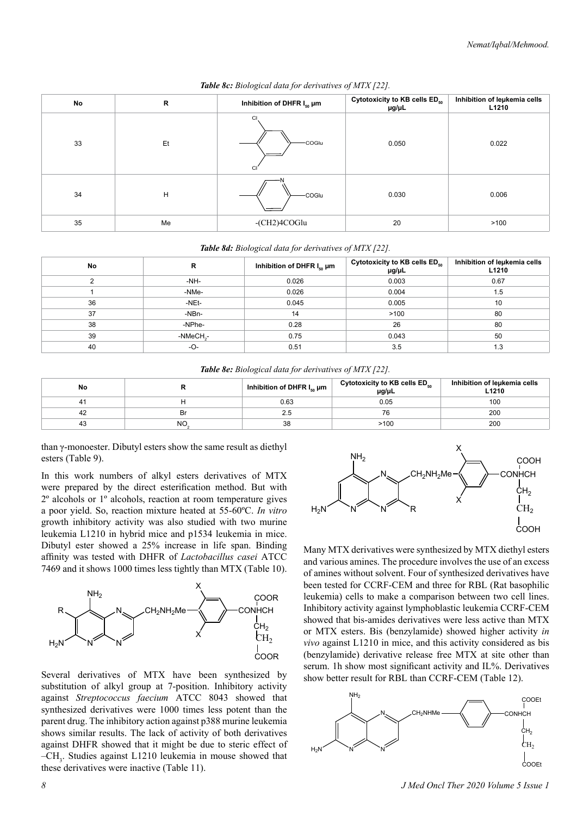| No | R  | Inhibition of DHFR $I_{50}$ µm | Cytotoxicity to KB cells ED <sub>50</sub><br>$\mu$ g/ $\mu$ L | Inhibition of leukemia cells<br>L1210 |
|----|----|--------------------------------|---------------------------------------------------------------|---------------------------------------|
| 33 | Et | CI<br>-COGlu<br><b>CI</b>      | 0.050                                                         | 0.022                                 |
| 34 | H  | -COGlu                         | 0.030                                                         | 0.006                                 |
| 35 | Me | $-CH2)4COGlu$                  | 20                                                            | >100                                  |

*Table 8c: Biological data for derivatives of MTX [22].*

### *Table 8d: Biological data for derivatives of MTX [22].*

| No | R                     | Inhibition of DHFR $I_{\rm so}$ µm | Cytotoxicity to KB cells ED <sub>50</sub><br>$\mu$ g/ $\mu$ L | Inhibition of leukemia cells<br>L1210 |
|----|-----------------------|------------------------------------|---------------------------------------------------------------|---------------------------------------|
|    | -NH-                  | 0.026                              | 0.003                                                         | 0.67                                  |
|    | -NMe-                 | 0.026                              | 0.004                                                         | 1.5                                   |
| 36 | -NEt-                 | 0.045                              | 0.005                                                         | 10                                    |
| 37 | $-NBn-$               | 14                                 | >100                                                          | 80                                    |
| 38 | -NPhe-                | 0.28                               | 26                                                            | 80                                    |
| 39 | -NMeCH <sub>2</sub> - | 0.75                               | 0.043                                                         | 50                                    |
| 40 | -O-                   | 0.51                               | 3.5                                                           | 1.3                                   |

*Table 8e: Biological data for derivatives of MTX [22].*

| No  |     | Inhibition of DHFR $I_{so}$ µm | Cytotoxicity to KB cells ED50<br>$\mu$ g/ $\mu$ L | Inhibition of leukemia cells<br>∟1210 |
|-----|-----|--------------------------------|---------------------------------------------------|---------------------------------------|
|     |     | 0.63                           | 0.05                                              | 100                                   |
| -42 | Br  | 2.5                            |                                                   | 200                                   |
| 43  | NO. | 38                             | >100                                              | 200                                   |

than γ-monoester. Dibutyl esters show the same result as diethyl esters (Table 9).

In this work numbers of alkyl esters derivatives of MTX were prepared by the direct esterification method. But with 2º alcohols or 1º alcohols, reaction at room temperature gives a poor yield. So, reaction mixture heated at 55-60ºC. *In vitro* growth inhibitory activity was also studied with two murine leukemia L1210 in hybrid mice and p1534 leukemia in mice. Dibutyl ester showed a 25% increase in life span. Binding affinity was tested with DHFR of *Lactobacillus casei* ATCC 7469 and it shows 1000 times less tightly than MTX (Table 10).



Several derivatives of MTX have been synthesized by substitution of alkyl group at 7-position. Inhibitory activity against *Streptococcus faecium* ATCC 8043 showed that synthesized derivatives were 1000 times less potent than the parent drug. The inhibitory action against p388 murine leukemia shows similar results. The lack of activity of both derivatives against DHFR showed that it might be due to steric effect of -CH<sub>3</sub>. Studies against L1210 leukemia in mouse showed that these derivatives were inactive (Table 11).



Many MTX derivatives were synthesized by MTX diethyl esters and various amines. The procedure involves the use of an excess of amines without solvent. Four of synthesized derivatives have been tested for CCRF-CEM and three for RBL (Rat basophilic leukemia) cells to make a comparison between two cell lines. Inhibitory activity against lymphoblastic leukemia CCRF-CEM showed that bis-amides derivatives were less active than MTX or MTX esters. Bis (benzylamide) showed higher activity *in vivo* against L1210 in mice, and this activity considered as bis (benzylamide) derivative release free MTX at site other than serum. 1h show most significant activity and IL%. Derivatives show better result for RBL than CCRF-CEM (Table 12).



*8 J Med Oncl Ther 2020 Volume 5 Issue 1*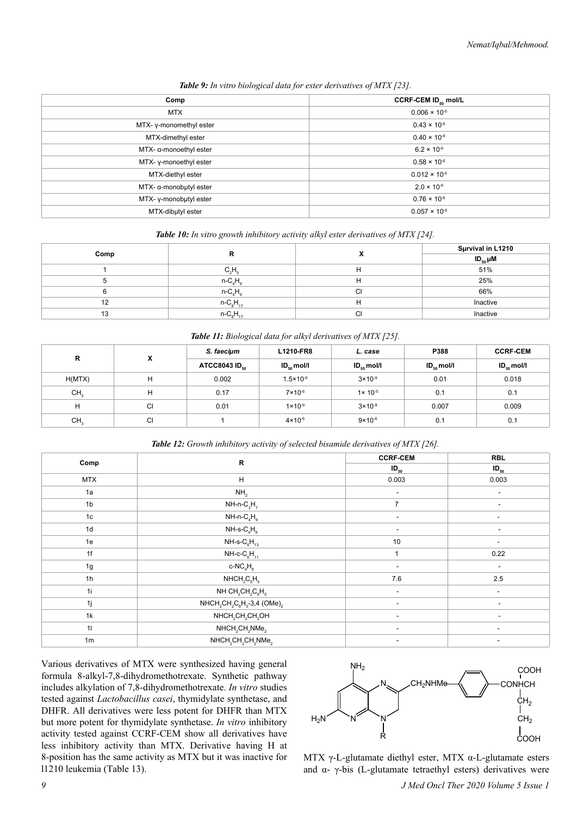| Comp                          | CCRF-CEM ID <sub>so</sub> mol/L |
|-------------------------------|---------------------------------|
| <b>MTX</b>                    | $0.006 \times 10^{-6}$          |
| MTX-y-monomethyl ester        | $0.43 \times 10^{-6}$           |
| MTX-dimethyl ester            | $0.40 \times 10^{-6}$           |
| $MTX \alpha$ -monoethyl ester | $6.2 \times 10^{-6}$            |
| MTX-y-monoethyl ester         | $0.58 \times 10^{-6}$           |
| MTX-diethyl ester             | $0.012 \times 10^{-6}$          |
| $MTX \alpha$ -monobutyl ester | $2.0 \times 10^{-6}$            |
| MTX-y-monobutyl ester         | $0.76 \times 10^{-6}$           |
| MTX-dibutyl ester             | $0.057 \times 10^{-6}$          |
|                               |                                 |

*Table 9: In vitro biological data for ester derivatives of MTX [23].*

*Table 10: In vitro growth inhibitory activity alkyl ester derivatives of MTX [24].*

| Comp |                 |   | Survival in L1210 |
|------|-----------------|---|-------------------|
|      |                 |   | $ID_{50}$ $µM$    |
|      | $C_2H_6$        | п | 51%               |
|      | $n - C_4H$      | н | 25%               |
|      | $n - C_4H_9$    | ◡ | 66%               |
| 12   | $n - C_8H_{17}$ | н | Inactive          |
| 13   | $n-C_8H_{17}$   | U | Inactive          |

*Table 11: Biological data for alkyl derivatives of MTX [25].*

| $\mathsf{R}$    | x  | S. faecium                | L1210-FR8             | L. case               | P388                  | <b>CCRF-CEM</b> |
|-----------------|----|---------------------------|-----------------------|-----------------------|-----------------------|-----------------|
|                 |    | ATCC8043 ID <sub>50</sub> | $ID_{\kappa_0}$ mol/l | $ID_{\kappa_0}$ mol/l | $ID_{\kappa_0}$ mol/l | $ID_{50}$ mol/l |
| H(MTX)          | н  | 0.002                     | $1.5 \times 10^{-9}$  | $3 \times 10^{-9}$    | 0.01                  | 0.018           |
| CH <sub>2</sub> | н  | 0.17                      | $7 \times 10^{-6}$    | $1 \times 10^{-5}$    | 0.1                   | 0.1             |
| н               | СI | 0.01                      | $1 \times 10^{-9}$    | $3 \times 10^{-9}$    | 0.007                 | 0.009           |
| CH <sub>3</sub> | СI |                           | $4 \times 10^{-6}$    | $9 \times 10^{-6}$    | 0.1                   | 0.1             |

*Table 12: Growth inhibitory activity of selected bisamide derivatives of MTX [26].*

|                | ${\sf R}$                                                          | <b>CCRF-CEM</b>          | <b>RBL</b>                   |
|----------------|--------------------------------------------------------------------|--------------------------|------------------------------|
| Comp           |                                                                    | $ID_{50}$                | $ID_{50}$                    |
| <b>MTX</b>     | H                                                                  | 0.003                    | 0.003                        |
| 1a             | NH <sub>2</sub>                                                    | $\overline{\phantom{a}}$ | $\qquad \qquad \blacksquare$ |
| 1 <sub>b</sub> | $NH-n-C3H7$                                                        | $\overline{7}$           | $\overline{\phantom{a}}$     |
| 1 <sub>c</sub> | $NH-n-C_4H_9$                                                      | $\overline{\phantom{a}}$ | $\overline{\phantom{a}}$     |
| 1 <sub>d</sub> | $NH-S-C4H9$                                                        | $\overline{\phantom{a}}$ | $\sim$                       |
| 1e             | $NH$ -s- $C_6H_{13}$                                               | 10                       | $\overline{\phantom{0}}$     |
| 1f             | $NH-c-C_6H_{11}$                                                   | $\overline{ }$           | 0.22                         |
| 1g             | $c$ -N $C_4H_8$                                                    | $\overline{\phantom{a}}$ | $\sim$                       |
| 1 <sub>h</sub> | $NHCH2C6H5$                                                        | 7.6                      | 2.5                          |
| 1i             | NH $CH_2CH_2C_6H_5$                                                | $\overline{\phantom{a}}$ | $\sim$                       |
| 1j             | $NHCH_2CH_2C_6H_3-3,4$ (OMe) <sub>2</sub>                          | $\overline{\phantom{a}}$ | $\overline{\phantom{a}}$     |
| 1k             | $NHCH2CH2CH2OH$                                                    | $\overline{\phantom{0}}$ | $\overline{\phantom{0}}$     |
| 11             | $NHCH2CH2NMe2$                                                     | $\overline{\phantom{a}}$ | $\overline{\phantom{a}}$     |
| 1 <sub>m</sub> | NHCH <sub>2</sub> CH <sub>2</sub> CH <sub>2</sub> NMe <sub>2</sub> | ٠                        | ۰                            |

Various derivatives of MTX were synthesized having general formula 8-alkyl-7,8-dihydromethotrexate. Synthetic pathway includes alkylation of 7,8-dihydromethotrexate. *In vitro* studies tested against *Lactobacillus casei*, thymidylate synthetase, and DHFR. All derivatives were less potent for DHFR than MTX but more potent for thymidylate synthetase. *In vitro* inhibitory activity tested against CCRF-CEM show all derivatives have less inhibitory activity than MTX. Derivative having H at 8-position has the same activity as MTX but it was inactive for l1210 leukemia (Table 13).



MTX γ-L-glutamate diethyl ester, MTX α-L-glutamate esters and  $\alpha$ -  $\gamma$ -bis (L-glutamate tetraethyl esters) derivatives were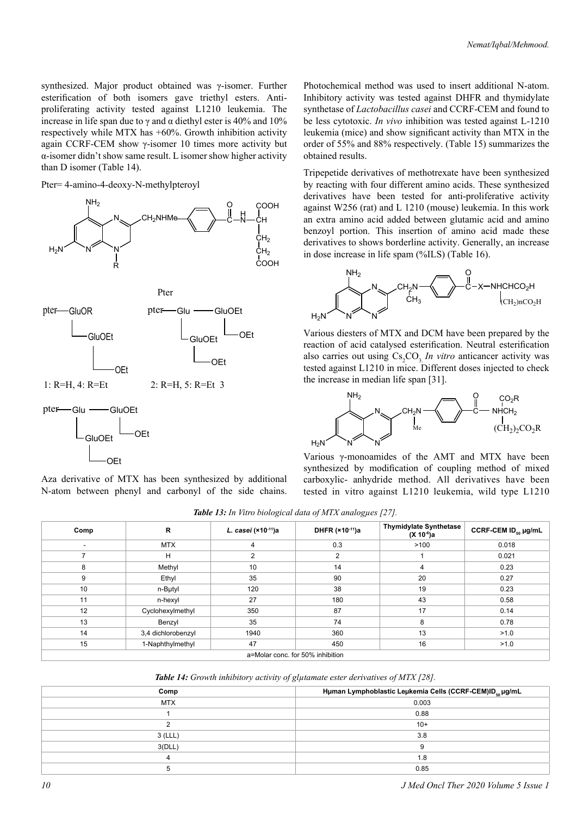synthesized. Major product obtained was γ-isomer. Further esterification of both isomers gave triethyl esters. Antiproliferating activity tested against L1210 leukemia. The increase in life span due to γ and α diethyl ester is 40% and 10% respectively while MTX has +60%. Growth inhibition activity again CCRF-CEM show γ-isomer 10 times more activity but α-isomer didn't show same result. L isomer show higher activity than D isomer (Table 14).

Pter= 4-amino-4-deoxy-N-methylpteroyl



Pter



1: R=H, 4: R=Et 2: R=H, 5: R=Et 3

pter-Glu - GluOEt OEt GluOEt

OEt

Aza derivative of MTX has been synthesized by additional N-atom between phenyl and carbonyl of the side chains.

Photochemical method was used to insert additional N-atom. Inhibitory activity was tested against DHFR and thymidylate synthetase of *Lactobacillus casei* and CCRF-CEM and found to be less cytotoxic. *In vivo* inhibition was tested against L-1210 leukemia (mice) and show significant activity than MTX in the order of 55% and 88% respectively. (Table 15) summarizes the obtained results.

Tripepetide derivatives of methotrexate have been synthesized by reacting with four different amino acids. These synthesized derivatives have been tested for anti-proliferative activity against W256 (rat) and L 1210 (mouse) leukemia. In this work an extra amino acid added between glutamic acid and amino benzoyl portion. This insertion of amino acid made these derivatives to shows borderline activity. Generally, an increase in dose increase in life spam (%ILS) (Table 16).



Various diesters of MTX and DCM have been prepared by the reaction of acid catalysed esterification. Neutral esterification also carries out using  $Cs_2CO_3$  *In vitro* anticancer activity was tested against L1210 in mice. Different doses injected to check the increase in median life span [31].



Various γ-monoamides of the AMT and MTX have been synthesized by modification of coupling method of mixed carboxylic- anhydride method. All derivatives have been tested in vitro against L1210 leukemia, wild type L1210

*Table 13: In Vitro biological data of MTX analogµes [27].*

| Comp                             | R                  | L. casei (×10-11)a | DHFR (×10-11)a | <b>Thymidylate Synthetase</b><br>(X 10 <sup>-6</sup> )a | CCRF-CEM ID <sub>50</sub> µg/mL |  |
|----------------------------------|--------------------|--------------------|----------------|---------------------------------------------------------|---------------------------------|--|
| $\overline{\phantom{a}}$         | <b>MTX</b>         | 4                  | 0.3            | >100                                                    | 0.018                           |  |
|                                  | H                  | 2                  | 2              |                                                         | 0.021                           |  |
| 8                                | Methyl             | 10                 | 14             | 4                                                       | 0.23                            |  |
| 9                                | Ethyl              | 35                 | 90             | 20                                                      | 0.27                            |  |
| 10                               | n-Butyl            | 120                | 38             | 19                                                      | 0.23                            |  |
| 11                               | n-hexyl            | 27                 | 180            | 43                                                      | 0.58                            |  |
| 12                               | Cyclohexylmethyl   | 350                | 87             | 17                                                      | 0.14                            |  |
| 13                               | Benzyl             | 35                 | 74             | 8                                                       | 0.78                            |  |
| 14                               | 3,4 dichlorobenzyl | 1940               | 360            | 13                                                      | >1.0                            |  |
| 15                               | 1-Naphthylmethyl   | 47                 | 450            | 16                                                      | >1.0                            |  |
| a=Molar conc. for 50% inhibition |                    |                    |                |                                                         |                                 |  |

*Table 14: Growth inhibitory activity of glµtamate ester derivatives of MTX [28].*

| Comp           | Hµman Lymphoblastic Leµkemia Cells (CCRF-CEM)ID <sub>50</sub> µg/mL |
|----------------|---------------------------------------------------------------------|
| <b>MTX</b>     | 0.003                                                               |
|                | 0.88                                                                |
|                | $10+$                                                               |
| $3$ (LLL)      | 3.8                                                                 |
| 3(DLL)         | 9                                                                   |
| $\overline{4}$ | 1.8                                                                 |
| 5              | 0.85                                                                |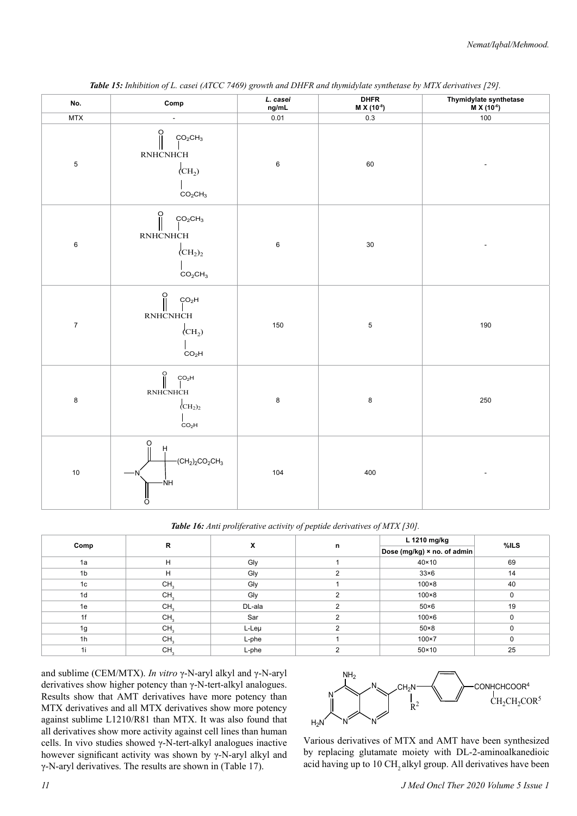| No.            | Comp                                                                                                                                    | L. casei<br>ng/mL | <b>DHFR</b><br>M X (10-8) | Thymidylate synthetase<br>$M X (10^{-6})$ |
|----------------|-----------------------------------------------------------------------------------------------------------------------------------------|-------------------|---------------------------|-------------------------------------------|
| MTX            | $\blacksquare$                                                                                                                          | 0.01              | $0.3\,$                   | 100                                       |
| $\mathbf 5$    | ဂူ<br>CO <sub>2</sub> CH <sub>3</sub><br>RNHCNHCH<br>$\langle CH_2 \rangle$<br>CO <sub>2</sub> CH <sub>3</sub>                          | $\,6$             | $60\,$                    |                                           |
| $\mathbf 6$    | $\frac{0}{\parallel}$<br>$\rm CO_2CH_3$<br>RNHCNHCH<br>$\rm (CH_2)_2$<br>CO <sub>2</sub> CH <sub>3</sub>                                | $\,6$             | $30\,$                    |                                           |
| $\overline{7}$ | $\begin{bmatrix} 0 \\ 0 \\ 0 \end{bmatrix}$<br>CO <sub>2</sub> H<br><b>RNHCNHCH</b><br>$\langle$ CH <sub>2</sub> )<br>CO <sub>2</sub> H | 150               | $\,$ 5 $\,$               | 190                                       |
| 8              | $\begin{bmatrix} 0 \\ 0 \\ 0 \end{bmatrix}$<br>CO <sub>2</sub> H<br>RNHCNHCH<br>$\rm CH_2)_2$<br>CO <sub>2</sub> H                      | $\bf 8$           | $\bf 8$                   | 250                                       |
| $10$           | O<br>$\dot{H}$<br>$-CH_2$ <sub>2</sub> CO <sub>2</sub> CH <sub>3</sub><br>-NH<br>O                                                      | 104               | 400                       |                                           |

*Table 15: Inhibition of L. casei (ATCC 7469) growth and DHFR and thymidylate synthetase by MTX derivatives [29].*

*Table 16: Anti proliferative activity of peptide derivatives of MTX [30].*

| Comp           | R               | X      |          | L 1210 mg/kg                | %ILS     |
|----------------|-----------------|--------|----------|-----------------------------|----------|
|                |                 |        | n        | Dose (mg/kg) × no. of admin |          |
| 1a             | H               | Gly    |          | $40 \times 10$              | 69       |
| 1 <sub>b</sub> | H               | Gly    | 2        | $33\times 6$                | 14       |
| 1c             | CH <sub>3</sub> | Gly    |          | $100\times8$                | 40       |
| 1d             | CH <sub>3</sub> | Gly    | ◠        | $100\times8$                | $\Omega$ |
| 1e             | CH <sub>3</sub> | DL-ala | 2        | $50\times 6$                | 19       |
| 1f             | CH <sub>3</sub> | Sar    | ົ        | $100\times 6$               | $\Omega$ |
| 1g             | CH <sub>3</sub> | L-Leµ  | $\Omega$ | $50\times8$                 | $\Omega$ |
| 1h             | CH <sub>3</sub> | L-phe  |          | $100\times7$                | 0        |
| 1i             | CH <sub>3</sub> | L-phe  | ◠        | $50 \times 10$              | 25       |

and sublime (CEM/MTX). *In vitro* γ-N-aryl alkyl and γ-N-aryl derivatives show higher potency than γ-N-tert-alkyl analogues. Results show that AMT derivatives have more potency than MTX derivatives and all MTX derivatives show more potency against sublime L1210/R81 than MTX. It was also found that all derivatives show more activity against cell lines than human cells. In vivo studies showed γ-N-tert-alkyl analogues inactive however significant activity was shown by γ-N-aryl alkyl and γ-N-aryl derivatives. The results are shown in (Table 17).



Various derivatives of MTX and AMT have been synthesized by replacing glutamate moiety with DL-2-aminoalkanedioic acid having up to 10 CH<sub>2</sub> alkyl group. All derivatives have been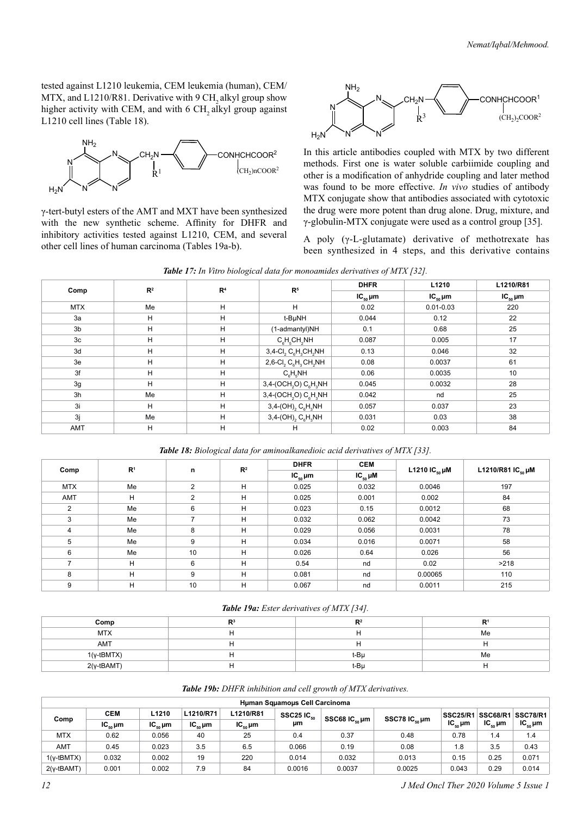tested against L1210 leukemia, CEM leukemia (human), CEM/  $MTX$ , and  $L1210/R81$ . Derivative with 9 CH<sub>2</sub> alkyl group show higher activity with CEM, and with 6 CH, alkyl group against L1210 cell lines (Table 18).



γ-tert-butyl esters of the AMT and MXT have been synthesized with the new synthetic scheme. Affinity for DHFR and inhibitory activities tested against L1210, CEM, and several other cell lines of human carcinoma (Tables 19a-b).



In this article antibodies coupled with MTX by two different methods. First one is water soluble carbiimide coupling and other is a modification of anhydride coupling and later method was found to be more effective. *In vivo* studies of antibody MTX conjugate show that antibodies associated with cytotoxic the drug were more potent than drug alone. Drug, mixture, and γ-globulin-MTX conjugate were used as a control group [35].

A poly  $(\gamma$ -L-glutamate) derivative of methotrexate has been synthesized in 4 steps, and this derivative contains

| Table 17: In Vitro biological data for monoamides derivatives of MTX [32]. |  |  |
|----------------------------------------------------------------------------|--|--|
|----------------------------------------------------------------------------|--|--|

|                | R <sup>2</sup> |                | R <sup>5</sup>                                                          | <b>DHFR</b>  | L1210           | L1210/R81       |
|----------------|----------------|----------------|-------------------------------------------------------------------------|--------------|-----------------|-----------------|
| Comp           |                | R <sup>4</sup> |                                                                         | $IC_{50}$ µm | $IC_{50} \mu m$ | $IC_{50} \mu m$ |
| <b>MTX</b>     | Me             | H              | H                                                                       | 0.02         | $0.01 - 0.03$   | 220             |
| 3a             | H              | H              | t-BuNH                                                                  | 0.044        | 0.12            | 22              |
| 3 <sub>b</sub> | H              | H              | (1-admantyl)NH                                                          | 0.1          | 0.68            | 25              |
| 3 <sub>c</sub> | H              | H              | $C_eH_eCH_2NH$                                                          | 0.087        | 0.005           | 17              |
| 3d             | н              | H              | $3,4$ -Cl <sub>2</sub> C <sub>e</sub> H <sub>3</sub> CH <sub>2</sub> NH | 0.13         | 0.046           | 32              |
| 3e             | н              | H              | 2,6-Cl <sub>2</sub> $C_6H_3CH_2NH$                                      | 0.08         | 0.0037          | 61              |
| 3f             | н              | н              | $C_{\rm e}H_{\rm e}NH$                                                  | 0.06         | 0.0035          | 10              |
| 3g             | н              | H              | 3,4-(OCH <sub>2</sub> O) C <sub>e</sub> H <sub>3</sub> NH               | 0.045        | 0.0032          | 28              |
| 3h             | Me             | H              | 3,4-(OCH <sub>2</sub> O) $C_6H_3NH$                                     | 0.042        | nd              | 25              |
| 3i             | н              | H              | $3,4-(OH)$ <sub>2</sub> $C_6H_3NH$                                      | 0.057        | 0.037           | 23              |
| 3j             | Me             | H              | $3,4-(OH)$ <sub>2</sub> $C_6H_3NH$                                      | 0.031        | 0.03            | 38              |
| <b>AMT</b>     | н              | н              | н                                                                       | 0.02         | 0.003           | 84              |

*Table 18: Biological data for aminoalkanedioic acid derivatives of MTX [33].*

|            | R <sup>1</sup> |                | $\mathbb{R}^2$ | <b>DHFR</b>        | <b>CEM</b>        |                     |                        |  |
|------------|----------------|----------------|----------------|--------------------|-------------------|---------------------|------------------------|--|
| Comp       |                | n              |                | $IC_{\kappa_0}$ µm | $IC_{50}$ $\mu$ M | L1210 IC $_{50}$ µM | L1210/R81 $IC_{50}$ µM |  |
| <b>MTX</b> | Me             | $\overline{2}$ | H              | 0.025              | 0.032             | 0.0046              | 197                    |  |
| AMT        | H              | 2              | H              | 0.025              | 0.001             | 0.002               | 84                     |  |
| 2          | Me             | 6              | H              | 0.023              | 0.15              | 0.0012              | 68                     |  |
| 3          | Me             | 7              | H              | 0.032              | 0.062             | 0.0042              | 73                     |  |
| 4          | Me             | 8              | H              | 0.029              | 0.056             | 0.0031              | 78                     |  |
| 5          | Me             | 9              | H              | 0.034              | 0.016             | 0.0071              | 58                     |  |
| 6          | Me             | 10             | H              | 0.026              | 0.64              | 0.026               | 56                     |  |
|            | H              | 6              | H              | 0.54               | nd                | 0.02                | >218                   |  |
| 8          | H              | 9              | H              | 0.081              | nd                | 0.00065             | 110                    |  |
| 9          | н              | 10             | H              | 0.067              | nd                | 0.0011              | 215                    |  |

*Table 19a: Ester derivatives of MTX [34].*

| Comp         | г.: | D <sub>2</sub> |    |
|--------------|-----|----------------|----|
| <b>MTX</b>   |     | . .            | Me |
| AMT          |     | н              |    |
| $1(y-tBMTX)$ |     | t-Bu           | Me |
| $2(y-tBAMT)$ |     | t-Bu           |    |

#### *Table 19b: DHFR inhibition and cell growth of MTX derivatives.*

|               | Human Squamous Cell Carcinoma |                                                     |              |              |                          |                          |                          |                    |              |              |  |
|---------------|-------------------------------|-----------------------------------------------------|--------------|--------------|--------------------------|--------------------------|--------------------------|--------------------|--------------|--------------|--|
|               | <b>CEM</b>                    | L1210/R71<br>L1210/R81<br>L1210<br>SSC25 IC $_{50}$ |              |              |                          | <b>SSC25/R1 SSC68/R1</b> | <b>SSC78/R1</b>          |                    |              |              |  |
| Comp          | $IC_{50}$ µm                  | $IC_{50}$ µm                                        | $IC_{50}$ µm | $IC_{50}$ µm | SSC68 $IC_{sn}$ µm<br>μm |                          | SSC78 $IC_{\kappa_0}$ µm | $IC_{\kappa_0}$ µm | $IC_{50}$ µm | $IC_{50}$ µm |  |
| <b>MTX</b>    | 0.62                          | 0.056                                               | 40           | 25           | 0.4                      | 0.37                     | 0.48                     | 0.78               | 1.4          | 1.4          |  |
| AMT           | 0.45                          | 0.023                                               | 3.5          | 6.5          | 0.066                    | 0.19                     | 0.08                     | 1.8                | 3.5          | 0.43         |  |
| $1(y$ -tBMTX) | 0.032                         | 0.002                                               | 19           | 220          | 0.014                    | 0.032                    | 0.013                    | 0.15               | 0.25         | 0.071        |  |
| $2(y-tBAMT)$  | 0.001                         | 0.002                                               | 7.9          | 84           | 0.0016                   | 0.0037                   | 0.0025                   | 0.043              | 0.29         | 0.014        |  |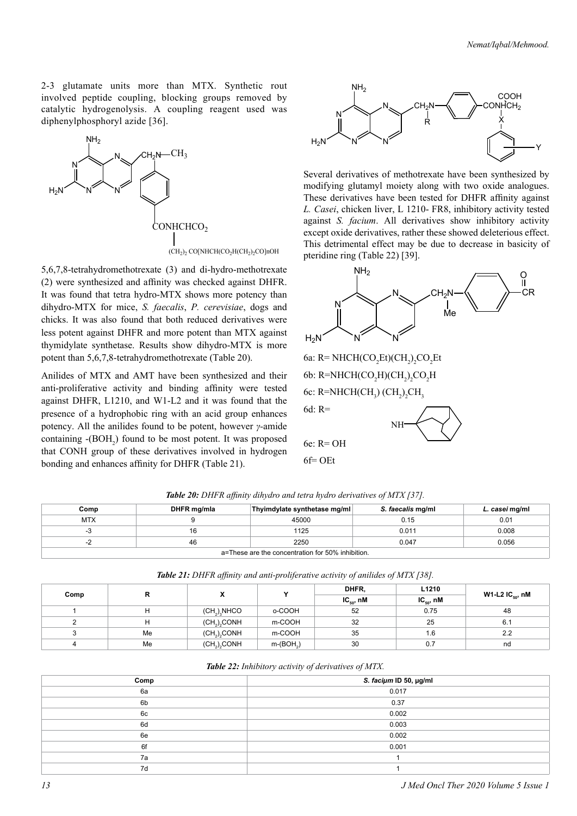2-3 glutamate units more than MTX. Synthetic rout involved peptide coupling, blocking groups removed by catalytic hydrogenolysis. A coupling reagent used was diphenylphosphoryl azide [36].



5,6,7,8-tetrahydromethotrexate (3) and di-hydro-methotrexate (2) were synthesized and affinity was checked against DHFR. It was found that tetra hydro-MTX shows more potency than dihydro-MTX for mice, *S. faecalis*, *P. cerevisiae*, dogs and chicks. It was also found that both reduced derivatives were less potent against DHFR and more potent than MTX against thymidylate synthetase. Results show dihydro-MTX is more potent than 5,6,7,8-tetrahydromethotrexate (Table 20).

Anilides of MTX and AMT have been synthesized and their anti-proliferative activity and binding affinity were tested against DHFR, L1210, and W1-L2 and it was found that the presence of a hydrophobic ring with an acid group enhances potency. All the anilides found to be potent, however *γ-*amide containing  $-(BOH<sub>2</sub>)$  found to be most potent. It was proposed that CONH group of these derivatives involved in hydrogen bonding and enhances affinity for DHFR (Table 21).



Several derivatives of methotrexate have been synthesized by modifying glutamyl moiety along with two oxide analogues. These derivatives have been tested for DHFR affinity against *L. Casei*, chicken liver, L 1210- FR8, inhibitory activity tested against *S. facium*. All derivatives show inhibitory activity except oxide derivatives, rather these showed deleterious effect. This detrimental effect may be due to decrease in basicity of pteridine ring (Table 22) [39].



NH

6e: R= OH

 $6f=$  OEt

**Comp DHFR mg/mla Thyimdylate synthetase mg/ml** *S. faecalis* **mg/ml** *L. casei* **mg/ml** MTX 9 45000 0.15 0.01 -3 16 1125 0.011 0.008 -2 46 2250 0.047 0.056 *Table 20: DHFR affinity dihydro and tetra hydro derivatives of MTX [37].*

a=These are the concentration for 50% inhibition.

|      |    |                                      | v          | DHFR,          | L1210          |                       |  |
|------|----|--------------------------------------|------------|----------------|----------------|-----------------------|--|
| Comp | R  | х                                    |            | $IC_{50}$ , nM | $IC_{50}$ , nM | W1-L2 IC $_{50}$ , nM |  |
|      | н  | (CH <sub>2</sub> ) <sub>3</sub> NHCO | o-COOH     | 52             | 0.75           | 48                    |  |
| ົ    | н  | $(CH2)2$ CONH                        | m-COOH     | 32             | 25             | 6.1                   |  |
|      | Me | $(CH2)2$ CONH                        | m-COOH     | 35             | 1.6            | 2.2                   |  |
|      | Me | $(CH2)2$ CONH                        | $m-(BOH2)$ | 30             | 0.7            | nd                    |  |
|      |    |                                      |            |                |                |                       |  |

*Table 21: DHFR affinity and anti-proliferative activity of anilides of MTX [38].*

| Table 22: Inhibitory activity of derivatives of MTX. |
|------------------------------------------------------|
|------------------------------------------------------|

| $\sim$ |                        |  |  |  |
|--------|------------------------|--|--|--|
| Comp   | S. faciµm ID 50, µg/ml |  |  |  |
| 6a     | 0.017                  |  |  |  |
| 6b     | 0.37                   |  |  |  |
| 6c     | 0.002                  |  |  |  |
| 6d     | 0.003                  |  |  |  |
| 6e     | 0.002                  |  |  |  |
| 6f     | 0.001                  |  |  |  |
| 7a     |                        |  |  |  |
| 7d     |                        |  |  |  |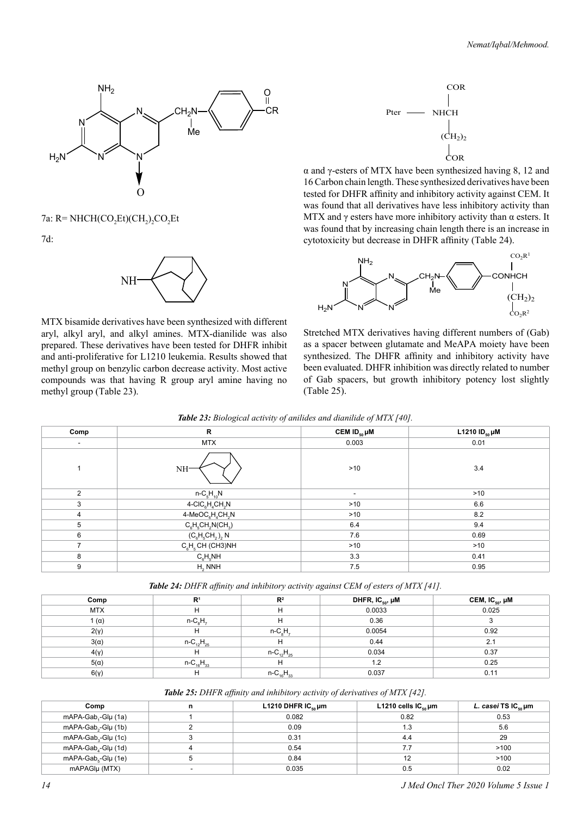

7a: R= NHCH(CO<sub>2</sub>Et)(CH<sub>2</sub>)<sub>2</sub>CO<sub>2</sub>Et

7d:



MTX bisamide derivatives have been synthesized with different aryl, alkyl aryl, and alkyl amines. MTX-dianilide was also prepared. These derivatives have been tested for DHFR inhibit and anti-proliferative for L1210 leukemia. Results showed that methyl group on benzylic carbon decrease activity. Most active compounds was that having R group aryl amine having no methyl group (Table 23).



α and γ-esters of MTX have been synthesized having 8, 12 and 16 Carbon chain length. These synthesized derivatives have been tested for DHFR affinity and inhibitory activity against CEM. It was found that all derivatives have less inhibitory activity than MTX and  $\gamma$  esters have more inhibitory activity than  $\alpha$  esters. It was found that by increasing chain length there is an increase in cytotoxicity but decrease in DHFR affinity (Table 24).



Stretched MTX derivatives having different numbers of (Gab) as a spacer between glutamate and MeAPA moiety have been synthesized. The DHFR affinity and inhibitory activity have been evaluated. DHFR inhibition was directly related to number of Gab spacers, but growth inhibitory potency lost slightly (Table 25).

| Comp                     | $\mathsf{R}$                                           | CEM $ID_{50}$ µM | L1210 $ID_{50}$ µM |
|--------------------------|--------------------------------------------------------|------------------|--------------------|
| $\overline{\phantom{a}}$ | <b>MTX</b>                                             | 0.003            | 0.01               |
| 1                        | NH <sup>.</sup>                                        | >10              | 3.4                |
| $\mathfrak{p}$           | $n - C_5 H_{10} N$                                     | ٠.               | >10                |
| 3                        | $4$ -CIC <sub>6</sub> H <sub>4</sub> CH <sub>2</sub> N | >10              | 6.6                |
| $\overline{4}$           | $4-MeOC6H4CH2N$                                        | $>10$            | 8.2                |
| 5                        | $C_6H_5CH_2N(CH_3)$                                    | 6.4              | 9.4                |
| 6                        | $(C_6H_5CH_2)_2 N$                                     | 7.6              | 0.69               |
| $\overline{ }$           | $C_6H_5CH$ (CH3)NH                                     | >10              | >10                |
| 8                        | $C_6H_5NH$                                             | 3.3              | 0.41               |
| 9                        | $H2$ NNH                                               | 7.5              | 0.95               |

*Table 23: Biological activity of anilides and dianilide of MTX [40].*

| <b>Table 24:</b> DHFR affinity and inhibitory activity against CEM of esters of MTX [41]. |  |  |
|-------------------------------------------------------------------------------------------|--|--|
|-------------------------------------------------------------------------------------------|--|--|

| Comp         | R <sup>1</sup>     | R <sup>2</sup>     | DHFR, IC $_{\rm 50}$ , $\mu$ M | CEM, IC <sub>50</sub> , µM |
|--------------|--------------------|--------------------|--------------------------------|----------------------------|
| <b>MTX</b>   | н                  | н                  | 0.0033                         | 0.025                      |
| 1 $(\alpha)$ | $n - CsH7$         | н                  | 0.36                           |                            |
| $2(\gamma)$  | н                  | $n - CaH7$         | 0.0054                         | 0.92                       |
| $3(\alpha)$  | $n - C_{12}H_{25}$ | н                  | 0.44                           | 2.1                        |
| 4(y)         | н                  | $n - C_{12}H_{25}$ | 0.034                          | 0.37                       |
| $5(\alpha)$  | $n - C_{16}H_{33}$ | н                  | 1.2                            | 0.25                       |
| 6(y)         | н                  | $n - C_{16}H_{33}$ | 0.037                          | 0.11                       |

*Table 25: DHFR affinity and inhibitory activity of derivatives of MTX [42].*

| Comp                            | n | L1210 DHFR $IC_{so}$ µm | L1210 cells $IC_{\rm so}$ µm | <i>L. casei</i> TS IC <sub>so</sub> µm |
|---------------------------------|---|-------------------------|------------------------------|----------------------------------------|
| mAPA-Gab,-Glµ (1a)              |   | 0.082                   | 0.82                         | 0.53                                   |
| mAPA-Gab <sub>2</sub> -Glµ (1b) |   | 0.09                    | 1.3                          | 5.6                                    |
| mAPA-Gab <sub>3</sub> -Glµ (1c) |   | 0.31                    | 4.4                          | 29                                     |
| mAPA-Gab <sub>4</sub> -Glµ (1d) |   | 0.54                    | 7.7                          | >100                                   |
| mAPA-Gab <sub>c</sub> -Glµ (1e) |   | 0.84                    | 12                           | >100                                   |
| mAPAGIµ (MTX)                   |   | 0.035                   | 0.5                          | 0.02                                   |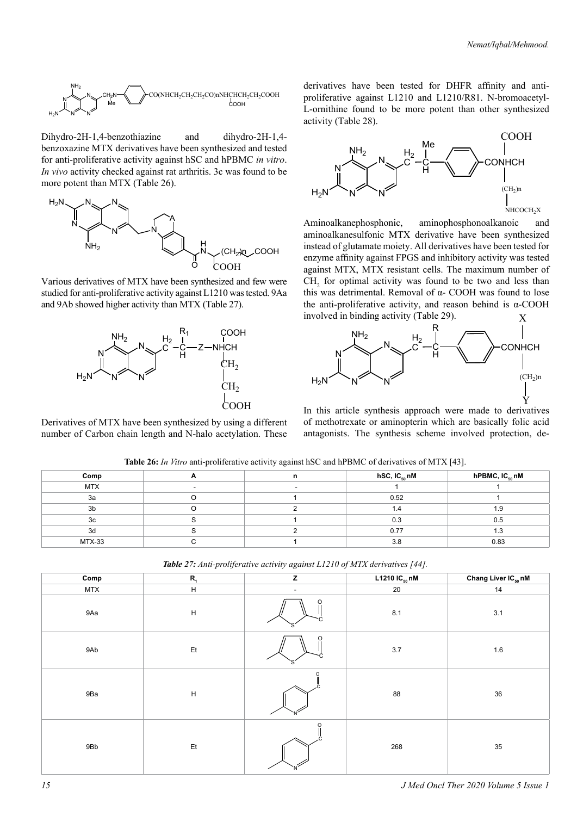

Dihydro-2H-1,4-benzothiazine and dihydro-2H-1,4 benzoxazine MTX derivatives have been synthesized and tested for anti-proliferative activity against hSC and hPBMC *in vitro*. *In vivo* activity checked against rat arthritis. 3c was found to be more potent than MTX (Table 26).



Various derivatives of MTX have been synthesized and few were studied for anti-proliferative activity against L1210 was tested. 9Aa and 9Ab showed higher activity than MTX (Table 27).



Derivatives of MTX have been synthesized by using a different number of Carbon chain length and N-halo acetylation. These

derivatives have been tested for DHFR affinity and antiproliferative against L1210 and L1210/R81. N-bromoacetyl-L-ornithine found to be more potent than other synthesized activity (Table 28).



Aminoalkanephosphonic, aminophosphonoalkanoic and aminoalkanesulfonic MTX derivative have been synthesized instead of glutamate moiety. All derivatives have been tested for enzyme affinity against FPGS and inhibitory activity was tested against MTX, MTX resistant cells. The maximum number of  $CH<sub>2</sub>$  for optimal activity was found to be two and less than this was detrimental. Removal of  $α$ - COOH was found to lose the anti-proliferative activity, and reason behind is  $\alpha$ -COOH involved in binding activity (Table 29). X



In this article synthesis approach were made to derivatives of methotrexate or aminopterin which are basically folic acid antagonists. The synthesis scheme involved protection, de-

|            | $\sim$ $\sim$ |                    | . .                        |
|------------|---------------|--------------------|----------------------------|
| Comp       | n             | hSC, IC $_{50}$ nM | hPBMC, IC <sub>50</sub> nM |
| <b>MTX</b> |               |                    |                            |
| 3a         |               | 0.52               |                            |
| 3b         |               | 1.4                | 1.9                        |
| 3c         |               | 0.3                | 0.5                        |
| 3d         |               | 0.77               | 1.3                        |
| $MTX-33$   |               | 3.8                | 0.83                       |

**Table 26:** *In Vitro* anti-proliferative activity against hSC and hPBMC of derivatives of MTX [43].

| Comp       | $R_{1}$       | z                        | L1210 $IC_{50}$ nM | Chang Liver IC <sub>50</sub> nM |
|------------|---------------|--------------------------|--------------------|---------------------------------|
| <b>MTX</b> | $\mathsf H$   | $\overline{\phantom{a}}$ | 20                 | 14                              |
| 9Aa        | $\mathsf H$   | O                        | $\bf 8.1$          | 3.1                             |
| 9Ab        | $\mathsf{Et}$ | O                        | $3.7\,$            | 1.6                             |
| 9Ba        | H             |                          | 88                 | 36                              |
| 9Bb        | Et            | $\Omega$                 | 268                | $35\,$                          |

*Table 27: Anti-proliferative activity against L1210 of MTX derivatives [44].*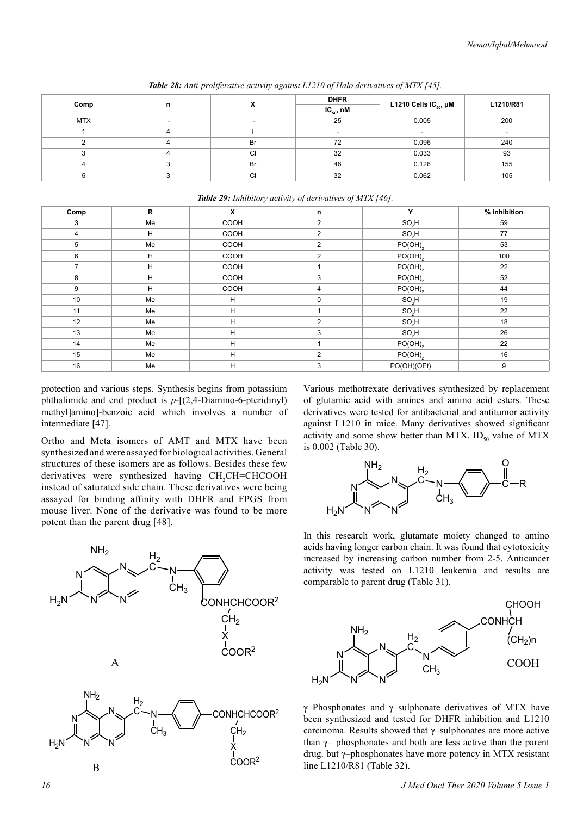|            |   |           | <b>DHFR</b>    |                                   |           |  |
|------------|---|-----------|----------------|-----------------------------------|-----------|--|
| Comp       | n |           | $IC_{50}$ , nM | L1210 Cells IC <sub>50</sub> , µM | L1210/R81 |  |
| <b>MTX</b> |   |           | 25             | 0.005                             | 200       |  |
|            |   |           |                |                                   |           |  |
|            |   | <b>Br</b> | 72             | 0.096                             | 240       |  |
|            |   | <b>CI</b> | 32             | 0.033                             | 93        |  |
|            |   | <b>Br</b> | 46             | 0.126                             | 155       |  |
|            |   | СI        | 32             | 0.062                             | 105       |  |

*Table 28: Anti-proliferative activity against L1210 of Halo derivatives of MTX [45].*

|                |    | $\sim$ | $\sim$ $\sim$<br>$\overline{\phantom{a}}$ | $\mathbf{L}$ $\mathbf{J}$ |              |
|----------------|----|--------|-------------------------------------------|---------------------------|--------------|
| Comp           | R  | X      | n                                         | Y                         | % inhibition |
| 3              | Me | COOH   | $\overline{2}$                            | $SO_2H$                   | 59           |
| $\overline{4}$ | H  | COOH   | $\overline{2}$                            | $SO_2H$                   | 77           |
| 5              | Me | COOH   | $\overline{2}$                            | $PO(OH)_{2}$              | 53           |
| 6              | H  | COOH   | $\overline{2}$                            | $PO(OH)_{2}$              | 100          |
| 7              | H  | COOH   |                                           | $PO(OH)_{2}$              | 22           |
| 8              | H  | COOH   | 3                                         | $PO(OH)_{2}$              | 52           |
| 9              | H  | COOH   | 4                                         | $PO(OH)_{2}$              | 44           |
| 10             | Me | н      | $\mathbf 0$                               | $SO_2H$                   | 19           |
| 11             | Me | H      |                                           | $SO_2H$                   | 22           |
| 12             | Me | н      | 2                                         | SO <sub>2</sub> H         | 18           |
| 13             | Me | H      | 3                                         | $SO_2H$                   | 26           |
| 14             | Me | H      | 1                                         | $PO(OH)_{2}$              | 22           |
| 15             | Me | H      | $\overline{2}$                            | $PO(OH)_{2}$              | 16           |
| 16             | Me | н      | 3                                         | PO(OH)(OEt)               | 9            |

*Table 29: Inhibitory activity of derivatives of MTX [46].*

protection and various steps. Synthesis begins from potassium phthalimide and end product is *p-*[(2,4-Diamino-6-pteridinyl) methyl]amino]-benzoic acid which involves a number of intermediate [47].

Ortho and Meta isomers of AMT and MTX have been synthesized and were assayed for biological activities. General structures of these isomers are as follows. Besides these few derivatives were synthesized having CH<sub>2</sub>CH=CHCOOH instead of saturated side chain. These derivatives were being assayed for binding affinity with DHFR and FPGS from mouse liver. None of the derivative was found to be more potent than the parent drug [48].



Various methotrexate derivatives synthesized by replacement of glutamic acid with amines and amino acid esters. These derivatives were tested for antibacterial and antitumor activity against L1210 in mice. Many derivatives showed significant activity and some show better than MTX. ID<sub>50</sub> value of MTX is 0.002 (Table 30).



In this research work, glutamate moiety changed to amino acids having longer carbon chain. It was found that cytotoxicity increased by increasing carbon number from 2-5. Anticancer activity was tested on L1210 leukemia and results are comparable to parent drug (Table 31).



γ–Phosphonates and γ–sulphonate derivatives of MTX have been synthesized and tested for DHFR inhibition and L1210 carcinoma. Results showed that γ–sulphonates are more active than  $\gamma$ – phosphonates and both are less active than the parent drug. but γ–phosphonates have more potency in MTX resistant line L1210/R81 (Table 32).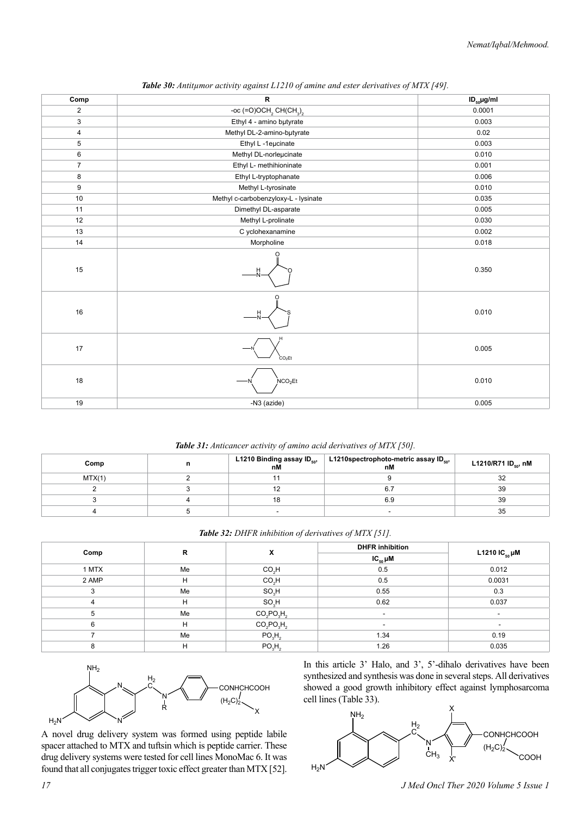| Comp           | R                                                          | $ID_{50}$ µg/ml |
|----------------|------------------------------------------------------------|-----------------|
| $\overline{2}$ | -oc (=O)OCH <sub>2</sub> CH(CH <sub>3</sub> ) <sub>2</sub> | 0.0001          |
| 3              | Ethyl 4 - amino butyrate                                   | 0.003           |
| 4              | Methyl DL-2-amino-butyrate                                 | 0.02            |
| 5              | Ethyl L -1eucinate                                         | 0.003           |
| 6              | Methyl DL-norleµcinate                                     | 0.010           |
| $\overline{7}$ | Ethyl L- methihioninate                                    | 0.001           |
| 8              | Ethyl L-tryptophanate                                      | 0.006           |
| 9              | Methyl L-tyrosinate                                        | 0.010           |
| $10$           | Methyl c-carbobenzyloxy-L - lysinate                       | 0.035           |
| 11             | Dimethyl DL-asparate                                       | 0.005           |
| 12             | Methyl L-prolinate                                         | 0.030           |
| 13             | C yclohexanamine                                           | 0.002           |
| 14             | Morpholine                                                 | 0.018           |
| 15             | ∩                                                          | 0.350           |
| 16             |                                                            | 0.010           |
| $17\,$         | CO <sub>2</sub> Et                                         | 0.005           |
| 18             | NCO <sub>2</sub> Et                                        | 0.010           |
| 19             | -N3 (azide)                                                | 0.005           |

| Table 30: Antitumor activity against L1210 of amine and ester derivatives of MTX [49]. |  |  |  |
|----------------------------------------------------------------------------------------|--|--|--|
|----------------------------------------------------------------------------------------|--|--|--|

| Table 31: Anticancer activity of amino acid derivatives of MTX [50]. |  |  |  |  |  |
|----------------------------------------------------------------------|--|--|--|--|--|
|----------------------------------------------------------------------|--|--|--|--|--|

| Comp   | L1210 Binding assay $\mathsf{ID}_{\mathsf{so}},$<br>nM | L1210spectrophoto-metric assay ID $_{50}$ ,<br>nM | L1210/R71 ID <sub>so</sub> , nM |
|--------|--------------------------------------------------------|---------------------------------------------------|---------------------------------|
| MTX(1) |                                                        |                                                   |                                 |
|        |                                                        |                                                   | 39                              |
|        |                                                        | 6.9                                               | 39                              |
|        | $\overline{\phantom{a}}$                               |                                                   | 35                              |

| Table 32: DHFR inhibition of derivatives of MTX [51]. |  |  |  |  |
|-------------------------------------------------------|--|--|--|--|
|-------------------------------------------------------|--|--|--|--|

|       | R  |                                | <b>DHFR</b> inhibition   |                          |
|-------|----|--------------------------------|--------------------------|--------------------------|
| Comp  |    | x                              | $IC_{50}$ $µM$           | L1210 IC $_{50}$ µM      |
| 1 MTX | Me | CO <sub>2</sub> H              | 0.5                      | 0.012                    |
| 2 AMP | H  | CO <sub>3</sub> H              | 0.5                      | 0.0031                   |
|       | Me | $SO_3H$                        | 0.55                     | 0.3                      |
| 4     | H  | SO <sub>3</sub> H              | 0.62                     | 0.037                    |
| 5     | Me | $CO2PO3H2$                     | $\overline{\phantom{a}}$ |                          |
| 6     | H  | $CO2PO3H2$                     | $\sim$                   | $\overline{\phantom{a}}$ |
|       | Me | PO <sub>3</sub> H <sub>2</sub> | 1.34                     | 0.19                     |
| 8     | н  | PO <sub>3</sub> H <sub>2</sub> | 1.26                     | 0.035                    |



A novel drug delivery system was formed using peptide labile spacer attached to MTX and tuftsin which is peptide carrier. These drug delivery systems were tested for cell lines MonoMac 6. It was found that all conjugates trigger toxic effect greater than MTX [52].

In this article 3' Halo, and 3', 5'-dihalo derivatives have been synthesized and synthesis was done in several steps. All derivatives showed a good growth inhibitory effect against lymphosarcoma cell lines (Table 33).

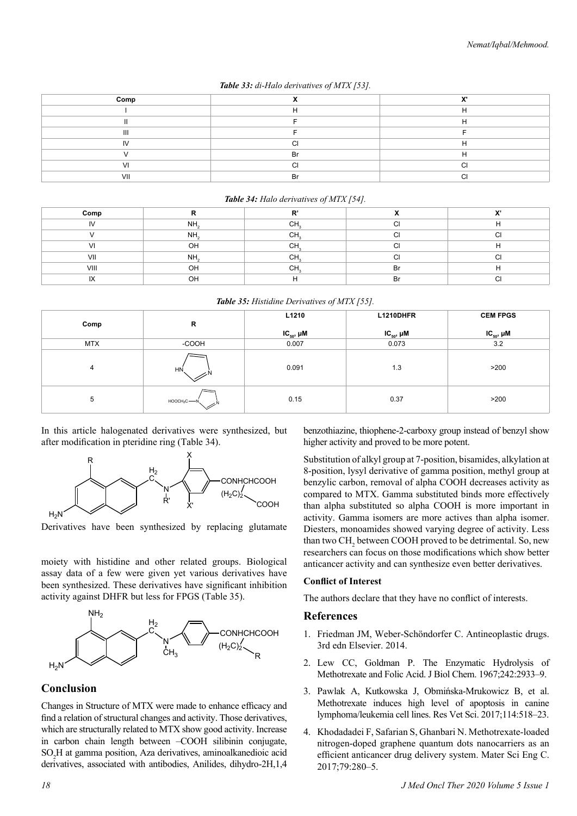|  | Table 33: di-Halo derivatives of MTX [53]. |  |
|--|--------------------------------------------|--|
|  |                                            |  |

| Comp |           | v, |
|------|-----------|----|
|      |           |    |
|      |           |    |
| Ш    |           |    |
| I٧   | ╭         |    |
|      | <b>Br</b> |    |
|      | ⌒         |    |
| VII  | Rr        |    |

#### *Table 34: Halo derivatives of MTX [54].*

| Comp          |                 | ъ,           |    | $\mathbf{v}$ |
|---------------|-----------------|--------------|----|--------------|
| IV            | NH <sub>2</sub> | $\sim$<br>◡  |    |              |
|               | NH <sub>2</sub> | $\sim$<br>◡ᡰ |    | $\sim$       |
| $\mathcal{U}$ | OH              | $\sim$<br>◡ᡰ |    |              |
| VII           | NH.             | $\sim$<br>◡  |    | $\sim$       |
| VIII          | OH              | $\sim$<br>◡᠁ | Br |              |
| IX            | OH              |              | Br | $\sim$       |

*Table 35: Histidine Derivatives of MTX [55].*

| Comp       | R                             | L1210            | L1210DHFR        | <b>CEM FPGS</b>  |
|------------|-------------------------------|------------------|------------------|------------------|
|            |                               | $IC_{50}$ , $µM$ | $IC_{50}$ , $µM$ | $IC_{50}$ , $µM$ |
| <b>MTX</b> | -COOH                         | 0.007            | 0.073            | 3.2              |
| 4          | HN                            | 0.091            | 1.3              | >200             |
| 5          | $HOOCH2C$ $\longrightarrow$ N | 0.15             | 0.37             | >200             |

In this article halogenated derivatives were synthesized, but after modification in pteridine ring (Table 34).



Derivatives have been synthesized by replacing glutamate

moiety with histidine and other related groups. Biological assay data of a few were given yet various derivatives have been synthesized. These derivatives have significant inhibition activity against DHFR but less for FPGS (Table 35).



# **Conclusion**

Changes in Structure of MTX were made to enhance efficacy and find a relation of structural changes and activity. Those derivatives, which are structurally related to MTX show good activity. Increase in carbon chain length between –COOH silibinin conjugate, SO<sup>2</sup> H at gamma position, Aza derivatives, aminoalkanedioic acid derivatives, associated with antibodies, Anilides, dihydro-2H,1,4

benzothiazine, thiophene-2-carboxy group instead of benzyl show higher activity and proved to be more potent.

Substitution of alkyl group at 7-position, bisamides, alkylation at 8-position, lysyl derivative of gamma position, methyl group at benzylic carbon, removal of alpha COOH decreases activity as compared to MTX. Gamma substituted binds more effectively than alpha substituted so alpha COOH is more important in activity. Gamma isomers are more actives than alpha isomer. Diesters, monoamides showed varying degree of activity. Less than two  $CH_2$  between COOH proved to be detrimental. So, new researchers can focus on those modifications which show better anticancer activity and can synthesize even better derivatives.

## **Conflict of Interest**

The authors declare that they have no conflict of interests.

## **References**

- 1. Friedman JM, Weber-Schöndorfer C. Antineoplastic drugs. 3rd edn Elsevier. 2014.
- 2. Lew CC, Goldman P. The Enzymatic Hydrolysis of Methotrexate and Folic Acid. J Biol Chem. 1967;242:2933–9.
- 3. Pawlak A, Kutkowska J, Obmińska-Mrukowicz B, et al. Methotrexate induces high level of apoptosis in canine lymphoma/leukemia cell lines. Res Vet Sci. 2017;114:518–23.
- 4. Khodadadei F, Safarian S, Ghanbari N. Methotrexate-loaded nitrogen-doped graphene quantum dots nanocarriers as an efficient anticancer drug delivery system. Mater Sci Eng C. 2017;79:280–5.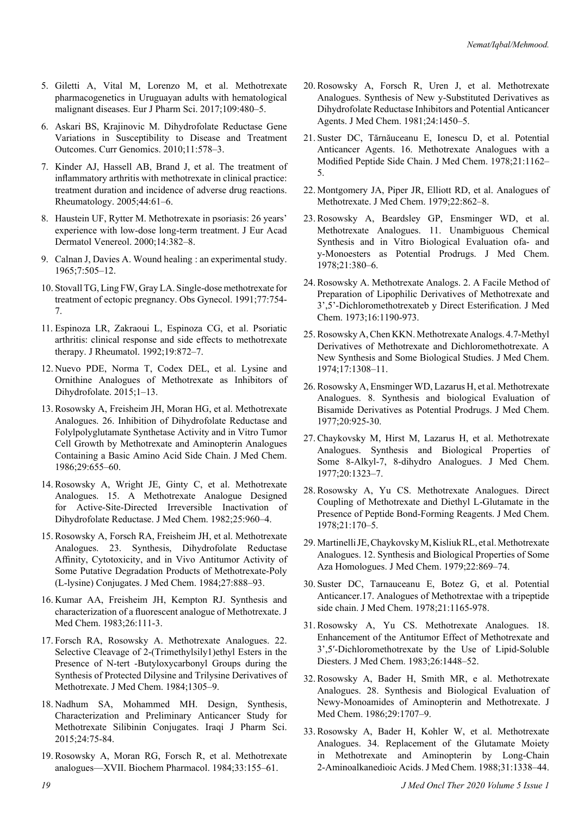- 5. Giletti A, Vital M, Lorenzo M, et al. Methotrexate pharmacogenetics in Uruguayan adults with hematological malignant diseases. Eur J Pharm Sci. 2017;109:480–5.
- 6. Askari BS, Krajinovic M. Dihydrofolate Reductase Gene Variations in Susceptibility to Disease and Treatment Outcomes. Curr Genomics. 2010;11:578–3.
- 7. Kinder AJ, Hassell AB, Brand J, et al. The treatment of inflammatory arthritis with methotrexate in clinical practice: treatment duration and incidence of adverse drug reactions. Rheumatology. 2005;44:61–6.
- 8. Haustein UF, Rytter M. Methotrexate in psoriasis: 26 years' experience with low-dose long-term treatment. J Eur Acad Dermatol Venereol. 2000;14:382–8.
- 9. Calnan J, Davies A. Wound healing : an experimental study. 1965;7:505–12.
- 10. Stovall TG, Ling FW, Gray LA. Single-dose methotrexate for treatment of ectopic pregnancy. Obs Gynecol. 1991;77:754- 7.
- 11. Espinoza LR, Zakraoui L, Espinoza CG, et al. Psoriatic arthritis: clinical response and side effects to methotrexate therapy. J Rheumatol. 1992;19:872–7.
- 12. Nuevo PDE, Norma T, Codex DEL, et al. Lysine and Ornithine Analogues of Methotrexate as Inhibitors of Dihydrofolate. 2015;1–13.
- 13. Rosowsky A, Freisheim JH, Moran HG, et al. Methotrexate Analogues. 26. Inhibition of Dihydrofolate Reductase and Folylpolyglutamate Synthetase Activity and in Vitro Tumor Cell Growth by Methotrexate and Aminopterin Analogues Containing a Basic Amino Acid Side Chain. J Med Chem. 1986;29:655–60.
- 14. Rosowsky A, Wright JE, Ginty C, et al. Methotrexate Analogues. 15. A Methotrexate Analogue Designed for Active-Site-Directed Irreversible Inactivation of Dihydrofolate Reductase. J Med Chem. 1982;25:960–4.
- 15. Rosowsky A, Forsch RA, Freisheim JH, et al. Methotrexate Analogues. 23. Synthesis, Dihydrofolate Reductase Affinity, Cytotoxicity, and in Vivo Antitumor Activity of Some Putative Degradation Products of Methotrexate-Poly (L-lysine) Conjugates. J Med Chem. 1984;27:888–93.
- 16. Kumar AA, Freisheim JH, Kempton RJ. Synthesis and characterization of a fluorescent analogue of Methotrexate. J Med Chem. 1983;26:111-3.
- 17. Forsch RA, Rosowsky A. Methotrexate Analogues. 22. Selective Cleavage of 2-(Trimethylsily1)ethyl Esters in the Presence of N-tert -Butyloxycarbonyl Groups during the Synthesis of Protected Dilysine and Trilysine Derivatives of Methotrexate. J Med Chem. 1984;1305–9.
- 18. Nadhum SA, Mohammed MH. Design, Synthesis, Characterization and Preliminary Anticancer Study for Methotrexate Silibinin Conjugates. Iraqi J Pharm Sci. 2015;24:75-84.
- 19. Rosowsky A, Moran RG, Forsch R, et al. Methotrexate analogues—XVII. Biochem Pharmacol. 1984;33:155–61.
- 20. Rosowsky A, Forsch R, Uren J, et al. Methotrexate Analogues. Synthesis of New y-Substituted Derivatives as Dihydrofolate Reductase Inhibitors and Potential Anticancer Agents. J Med Chem. 1981;24:1450–5.
- 21. Suster DC, Tărnăuceanu E, Ionescu D, et al. Potential Anticancer Agents. 16. Methotrexate Analogues with a Modified Peptide Side Chain. J Med Chem. 1978;21:1162– 5.
- 22. Montgomery JA, Piper JR, Elliott RD, et al. Analogues of Methotrexate. J Med Chem. 1979;22:862–8.
- 23. Rosowsky A, Beardsley GP, Ensminger WD, et al. Methotrexate Analogues. 11. Unambiguous Chemical Synthesis and in Vitro Biological Evaluation ofa- and y-Monoesters as Potential Prodrugs. J Med Chem. 1978;21:380–6.
- 24. Rosowsky A. Methotrexate Analogs. 2. A Facile Method of Preparation of Lipophilic Derivatives of Methotrexate and 3',5'-Dichloromethotrexateb y Direct Esterification. J Med Chem. 1973;16:1190-973.
- 25. Rosowsky A, Chen KKN. Methotrexate Analogs. 4.7-Methyl Derivatives of Methotrexate and Dichloromethotrexate. A New Synthesis and Some Biological Studies. J Med Chem. 1974;17:1308–11.
- 26. Rosowsky A, Ensminger WD, Lazarus H, et al. Methotrexate Analogues. 8. Synthesis and biological Evaluation of Bisamide Derivatives as Potential Prodrugs. J Med Chem. 1977;20:925-30.
- 27. Chaykovsky M, Hirst M, Lazarus H, et al. Methotrexate Analogues. Synthesis and Biological Properties of Some 8-Alkyl-7, 8-dihydro Analogues. J Med Chem. 1977;20:1323–7.
- 28. Rosowsky A, Yu CS. Methotrexate Analogues. Direct Coupling of Methotrexate and Diethyl L-Glutamate in the Presence of Peptide Bond-Forming Reagents. J Med Chem. 1978;21:170–5.
- 29. Martinelli JE, Chaykovsky M, Kisliuk RL, et al. Methotrexate Analogues. 12. Synthesis and Biological Properties of Some Aza Homologues. J Med Chem. 1979;22:869–74.
- 30. Suster DC, Tarnauceanu E, Botez G, et al. Potential Anticancer.17. Analogues of Methotrextae with a tripeptide side chain. J Med Chem. 1978;21:1165-978.
- 31. Rosowsky A, Yu CS. Methotrexate Analogues. 18. Enhancement of the Antitumor Effect of Methotrexate and 3',5′-Dichloromethotrexate by the Use of Lipid-Soluble Diesters. J Med Chem. 1983;26:1448–52.
- 32. Rosowsky A, Bader H, Smith MR, e al. Methotrexate Analogues. 28. Synthesis and Biological Evaluation of Newy-Monoamides of Aminopterin and Methotrexate. J Med Chem. 1986;29:1707–9.
- 33. Rosowsky A, Bader H, Kohler W, et al. Methotrexate Analogues. 34. Replacement of the Glutamate Moiety in Methotrexate and Aminopterin by Long-Chain 2-Aminoalkanedioic Acids. J Med Chem. 1988;31:1338–44.